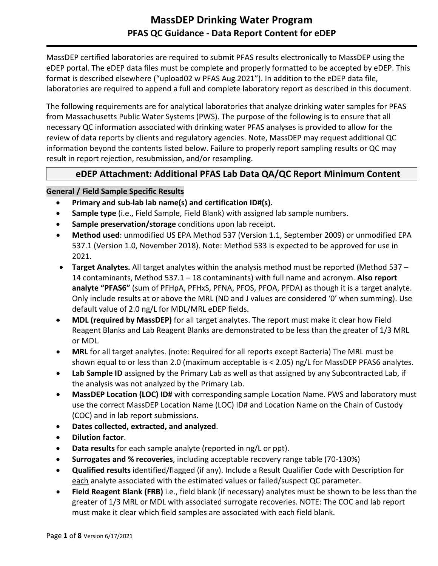## **MassDEP Drinking Water Program PFAS QC Guidance - Data Report Content for eDEP**

MassDEP certified laboratories are required to submit PFAS results electronically to MassDEP using the eDEP portal. The eDEP data files must be complete and properly formatted to be accepted by eDEP. This format is described elsewhere ("upload02 w PFAS Aug 2021"). In addition to the eDEP data file, laboratories are required to append a full and complete laboratory report as described in this document.

The following requirements are for analytical laboratories that analyze drinking water samples for PFAS from Massachusetts Public Water Systems (PWS). The purpose of the following is to ensure that all necessary QC information associated with drinking water PFAS analyses is provided to allow for the review of data reports by clients and regulatory agencies. Note, MassDEP may request additional QC information beyond the contents listed below. Failure to properly report sampling results or QC may result in report rejection, resubmission, and/or resampling.

## **eDEP Attachment: Additional PFAS Lab Data QA/QC Report Minimum Content**

#### **General / Field Sample Specific Results**

- **Primary and sub-lab lab name(s) and certification ID#(s).**
- **Sample type** (i.e., Field Sample, Field Blank) with assigned lab sample numbers.
- **Sample preservation/storage** conditions upon lab receipt.
- **Method used**: unmodified US EPA Method 537 (Version 1.1, September 2009) or unmodified EPA 537.1 (Version 1.0, November 2018). Note: Method 533 is expected to be approved for use in 2021.
- **Target Analytes.** All target analytes within the analysis method must be reported (Method 537 14 contaminants, Method 537.1 – 18 contaminants) with full name and acronym. **Also report analyte "PFAS6"** (sum of PFHpA, PFHxS, PFNA, PFOS, PFOA, PFDA) as though it is a target analyte. Only include results at or above the MRL (ND and J values are considered '0' when summing). Use default value of 2.0 ng/L for MDL/MRL eDEP fields.
- **MDL (required by MassDEP)** for all target analytes. The report must make it clear how Field Reagent Blanks and Lab Reagent Blanks are demonstrated to be less than the greater of 1/3 MRL or MDL.
- **MRL** for all target analytes. (note: Required for all reports except Bacteria) The MRL must be shown equal to or less than 2.0 (maximum acceptable is < 2.05) ng/L for MassDEP PFAS6 analytes.
- Lab Sample ID assigned by the Primary Lab as well as that assigned by any Subcontracted Lab, if the analysis was not analyzed by the Primary Lab.
- **MassDEP Location (LOC) ID#** with corresponding sample Location Name. PWS and laboratory must use the correct MassDEP Location Name (LOC) ID# and Location Name on the Chain of Custody (COC) and in lab report submissions.
- **Dates collected, extracted, and analyzed**.
- **Dilution factor**.
- **Data results** for each sample analyte (reported in ng/L or ppt).
- **Surrogates and % recoveries**, including acceptable recovery range table (70-130%)
- **Qualified results** identified/flagged (if any). Include a Result Qualifier Code with Description for each analyte associated with the estimated values or failed/suspect QC parameter.
- **Field Reagent Blank (FRB)** i.e., field blank (if necessary) analytes must be shown to be less than the greater of 1/3 MRL or MDL with associated surrogate recoveries. NOTE: The COC and lab report must make it clear which field samples are associated with each field blank.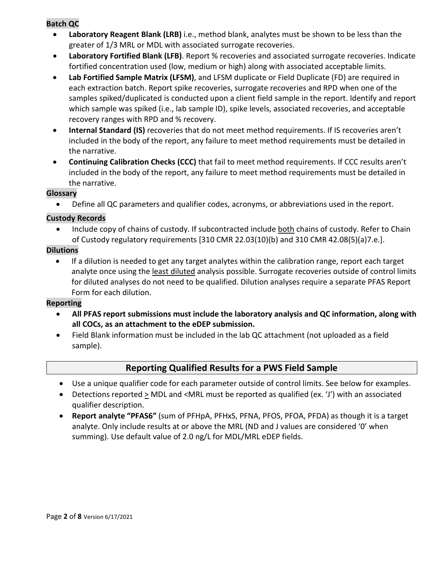#### **Batch QC**

- **Laboratory Reagent Blank (LRB)** i.e., method blank, analytes must be shown to be less than the greater of 1/3 MRL or MDL with associated surrogate recoveries.
- **Laboratory Fortified Blank (LFB)**. Report % recoveries and associated surrogate recoveries. Indicate fortified concentration used (low, medium or high) along with associated acceptable limits.
- **Lab Fortified Sample Matrix (LFSM)**, and LFSM duplicate or Field Duplicate (FD) are required in each extraction batch. Report spike recoveries, surrogate recoveries and RPD when one of the samples spiked/duplicated is conducted upon a client field sample in the report. Identify and report which sample was spiked (i.e., lab sample ID), spike levels, associated recoveries, and acceptable recovery ranges with RPD and % recovery.
- **Internal Standard (IS)** recoveries that do not meet method requirements. If IS recoveries aren't included in the body of the report, any failure to meet method requirements must be detailed in the narrative.
- **Continuing Calibration Checks (CCC)** that fail to meet method requirements. If CCC results aren't included in the body of the report, any failure to meet method requirements must be detailed in the narrative.

#### **Glossary**

• Define all QC parameters and qualifier codes, acronyms, or abbreviations used in the report.

#### **Custody Records**

• Include copy of chains of custody. If subcontracted include both chains of custody. Refer to Chain of Custody regulatory requirements [310 CMR 22.03(10)(b) and 310 CMR 42.08(5)(a)7.e.].

#### **Dilutions**

• If a dilution is needed to get any target analytes within the calibration range, report each target analyte once using the least diluted analysis possible. Surrogate recoveries outside of control limits for diluted analyses do not need to be qualified. Dilution analyses require a separate PFAS Report Form for each dilution.

### **Reporting**

- **All PFAS report submissions must include the laboratory analysis and QC information, along with all COCs, as an attachment to the eDEP submission.**
- Field Blank information must be included in the lab QC attachment (not uploaded as a field sample).

## **Reporting Qualified Results for a PWS Field Sample**

- Use a unique qualifier code for each parameter outside of control limits. See below for examples.
- Detections reported > MDL and <MRL must be reported as qualified (ex. 'J') with an associated qualifier description.
- **Report analyte "PFAS6"** (sum of PFHpA, PFHxS, PFNA, PFOS, PFOA, PFDA) as though it is a target analyte. Only include results at or above the MRL (ND and J values are considered '0' when summing). Use default value of 2.0 ng/L for MDL/MRL eDEP fields.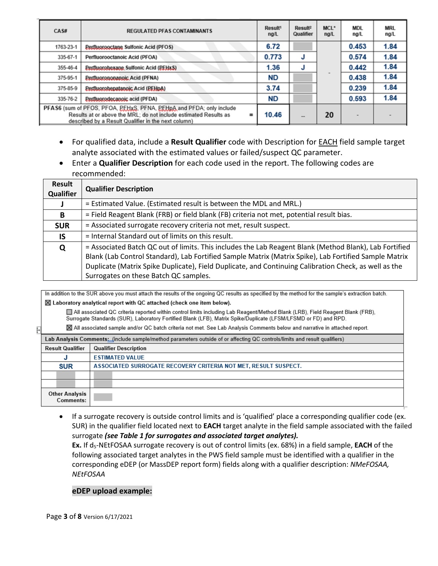| CAS#                                      | <b>REGULATED PFAS CONTAMINANTS</b>                                                                                                                                                                         | Result <sup>1</sup><br>ng/L | Result <sup>2</sup><br>Qualifier | MCL*<br>ngl | <b>MDL</b><br>ng/L | <b>MRL</b><br>ng/L |
|-------------------------------------------|------------------------------------------------------------------------------------------------------------------------------------------------------------------------------------------------------------|-----------------------------|----------------------------------|-------------|--------------------|--------------------|
| 1763-23-1                                 | <b>Perfluorooctane Sulfonic Acid (PFOS)</b>                                                                                                                                                                | 6.72                        |                                  |             | 0.453              | 1.84               |
| 335-67-1                                  | Perfluorooctanoic Acid (PFOA)                                                                                                                                                                              | 0.773                       | J                                |             | 0.574              | 1.84               |
| 355-46-4                                  | <b>Perfluorohexane Sulfonic Acid (PEHxS)</b>                                                                                                                                                               | 1.36                        | J                                |             | 0.442              | 1.84               |
| 375-95-1                                  | Perfluorononanoic Acid (PFNA)                                                                                                                                                                              | <b>ND</b>                   |                                  |             | 0.438              | 1.84               |
| 375-85-9                                  | Perfluorohepatanoic Acid (PEHpA)                                                                                                                                                                           | 3.74                        |                                  |             | 0.239              | 1.84               |
| 335-76-2<br>Perfluorodecanoic acid (PFDA) |                                                                                                                                                                                                            |                             |                                  |             | 0.593              | 1.84               |
|                                           | PFAS6 (sum of PFOS, PFOA, PEHxS, PFNA, PEHpA and PFDA; only include<br>Results at or above the MRL; do not include estimated Results as<br>$\equiv$<br>described by a Result Qualifier in the next column) | 10.46                       | --                               | 20          |                    |                    |

- For qualified data, include a **Result Qualifier** code with Description for EACH field sample target analyte associated with the estimated values or failed/suspect QC parameter.
- Enter a **Qualifier Description** for each code used in the report. The following codes are recommended:

| Result<br><b>Qualifier</b> | <b>Qualifier Description</b>                                                                                                                                                                                                                                                                                                                                      |
|----------------------------|-------------------------------------------------------------------------------------------------------------------------------------------------------------------------------------------------------------------------------------------------------------------------------------------------------------------------------------------------------------------|
|                            | = Estimated Value. (Estimated result is between the MDL and MRL.)                                                                                                                                                                                                                                                                                                 |
| B                          | = Field Reagent Blank (FRB) or field blank (FB) criteria not met, potential result bias.                                                                                                                                                                                                                                                                          |
| <b>SUR</b>                 | = Associated surrogate recovery criteria not met, result suspect.                                                                                                                                                                                                                                                                                                 |
| IS.                        | = Internal Standard out of limits on this result.                                                                                                                                                                                                                                                                                                                 |
| Q                          | = Associated Batch QC out of limits. This includes the Lab Reagent Blank (Method Blank), Lab Fortified<br>Blank (Lab Control Standard), Lab Fortified Sample Matrix (Matrix Spike), Lab Fortified Sample Matrix<br>Duplicate (Matrix Spike Duplicate), Field Duplicate, and Continuing Calibration Check, as well as the<br>Surrogates on these Batch QC samples. |

In addition to the SUR above you must attach the results of the ongoing QC results as specified by the method for the sample's extraction batch. ⊠ Laboratory analytical report with QC attached (check one item below).

All associated QC criteria reported within control limits including Lab Reagent/Method Blank (LRB), Field Reagent Blank (FRB), Surrogate Standards (SUR), Laboratory Fortified Blank (LFB), Matrix Spike/Duplicate (LFSM/LFSMD or FD) and RPD.

⊠ All associated sample and/or QC batch criteria not met. See Lab Analysis Comments below and narrative in attached report.

| Ĥ | ⊠ All associated sample and/or QC batch criteria not met. See Lab Analysis Comments below and narrative in attached report. |                                                                 |  |  |  |
|---|-----------------------------------------------------------------------------------------------------------------------------|-----------------------------------------------------------------|--|--|--|
|   | Lab Analysis Comments: (include sample/method parameters outside of or affecting QC controls/limits and result qualifiers)  |                                                                 |  |  |  |
|   | <b>Result Qualifier</b>                                                                                                     | <b>Qualifier Description</b>                                    |  |  |  |
|   |                                                                                                                             | <b>ESTIMATED VALUE</b>                                          |  |  |  |
|   | <b>SUR</b>                                                                                                                  | ASSOCIATED SURROGATE RECOVERY CRITERIA NOT MET, RESULT SUSPECT. |  |  |  |
|   |                                                                                                                             |                                                                 |  |  |  |
|   |                                                                                                                             |                                                                 |  |  |  |
|   | <b>Other Analysis</b><br>Comments:                                                                                          |                                                                 |  |  |  |

• If a surrogate recovery is outside control limits and is 'qualified' place a corresponding qualifier code (ex. SUR) in the qualifier field located next to **EACH** target analyte in the field sample associated with the failed surrogate *(see Table 1 for surrogates and associated target analytes).* **Ex.** If d<sub>5</sub>-NEtFOSAA surrogate recovery is out of control limits (ex. 68%) in a field sample, **EACH** of the following associated target analytes in the PWS field sample must be identified with a qualifier in the

corresponding eDEP (or MassDEP report form) fields along with a qualifier description: *NMeFOSAA, NEtFOSAA*

#### **eDEP upload example:**

Page **3** of **8** Version 6/17/2021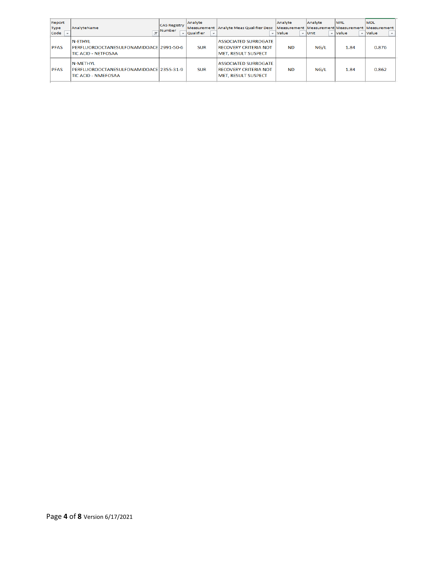| Report<br><b>Type</b><br>Code<br>$\overline{\phantom{a}}$ | AnalyteName                                                                             | <b>CAS Registry</b><br>Number | Analyte<br>$\overline{\phantom{a}}$   Qualifier | Measurement Analyte Meas Qualifier Desc   Measurement   Measurement   Measurement   Measurement | Analyte<br>$\div$ Value | Analyte<br>$\overline{v}$ Unit | <b>MRL</b><br>$\overline{\phantom{a}}$ Value | <b>MDL</b><br>$\overline{\phantom{a}}$ Value<br>$\overline{\phantom{a}}$ |
|-----------------------------------------------------------|-----------------------------------------------------------------------------------------|-------------------------------|-------------------------------------------------|-------------------------------------------------------------------------------------------------|-------------------------|--------------------------------|----------------------------------------------|--------------------------------------------------------------------------|
| <b>PFAS</b>                                               | <b>N-ETHYL</b><br>PERELUOROOCTANESULFONAMIDOACE 2991-50-6<br><b>TIC ACID - NETFOSAA</b> |                               | <b>SUR</b>                                      | <b>ASSOCIATED SURROGATE</b><br><b>RECOVERY CRITERIA NOT</b><br><b>MET. RESULT SUSPECT</b>       | <b>ND</b>               | NG/L                           | 1.84                                         | 0.876                                                                    |
| <b>PFAS</b>                                               | <b>N-MFTHYL</b><br>PERFLUOROOCTANESULFONAMIDOACE 2355-31-9<br>ITIC ACID - NMEFOSAA      |                               | <b>SUR</b>                                      | <b>ASSOCIATED SURROGATE</b><br><b>RECOVERY CRITERIA NOT</b><br><b>MET, RESULT SUSPECT</b>       | <b>ND</b>               | NG/L                           | 1.84                                         | 0.862                                                                    |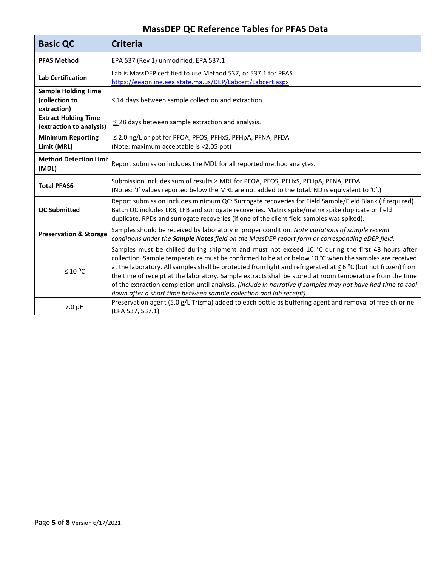# **MassDEP QC Reference Tables for PFAS Data**

| <b>Basic QC</b>                                             | <b>Criteria</b>                                                                                                                                                                                                                                                                                                                                                                                                                                                                                                                                                                                                                    |
|-------------------------------------------------------------|------------------------------------------------------------------------------------------------------------------------------------------------------------------------------------------------------------------------------------------------------------------------------------------------------------------------------------------------------------------------------------------------------------------------------------------------------------------------------------------------------------------------------------------------------------------------------------------------------------------------------------|
| <b>PFAS Method</b>                                          | EPA 537 (Rev 1) unmodified, EPA 537.1                                                                                                                                                                                                                                                                                                                                                                                                                                                                                                                                                                                              |
| <b>Lab Certification</b>                                    | Lab is MassDEP certified to use Method 537, or 537.1 for PFAS<br>https://eeaonline.eea.state.ma.us/DEP/Labcert/Labcert.aspx                                                                                                                                                                                                                                                                                                                                                                                                                                                                                                        |
| <b>Sample Holding Time</b><br>(collection to<br>extraction) | $\leq$ 14 days between sample collection and extraction.                                                                                                                                                                                                                                                                                                                                                                                                                                                                                                                                                                           |
| <b>Extract Holding Time</b><br>(extraction to analysis)     | $\leq$ 28 days between sample extraction and analysis.                                                                                                                                                                                                                                                                                                                                                                                                                                                                                                                                                                             |
| <b>Minimum Reporting</b><br>Limit (MRL)                     | ≤ 2.0 ng/L or ppt for PFOA, PFOS, PFHxS, PFHpA, PFNA, PFDA<br>(Note: maximum acceptable is <2.05 ppt)                                                                                                                                                                                                                                                                                                                                                                                                                                                                                                                              |
| <b>Method Detection Limi</b><br>(MDL)                       | Report submission includes the MDL for all reported method analytes.                                                                                                                                                                                                                                                                                                                                                                                                                                                                                                                                                               |
| <b>Total PFAS6</b>                                          | Submission includes sum of results ≥ MRL for PFOA, PFOS, PFHxS, PFHpA, PFNA, PFDA<br>(Notes: 'J' values reported below the MRL are not added to the total. ND is equivalent to 'O'.)                                                                                                                                                                                                                                                                                                                                                                                                                                               |
| <b>QC Submitted</b>                                         | Report submission includes minimum QC: Surrogate recoveries for Field Sample/Field Blank (if required).<br>Batch QC includes LRB, LFB and surrogate recoveries. Matrix spike/matrix spike duplicate or field<br>duplicate, RPDs and surrogate recoveries (if one of the client field samples was spiked).                                                                                                                                                                                                                                                                                                                          |
| <b>Preservation &amp; Storage</b>                           | Samples should be received by laboratory in proper condition. Note variations of sample receipt<br>conditions under the Sample Notes field on the MassDEP report form or corresponding eDEP field.                                                                                                                                                                                                                                                                                                                                                                                                                                 |
| $≤ 10 °C$                                                   | Samples must be chilled during shipment and must not exceed 10 °C during the first 48 hours after<br>collection. Sample temperature must be confirmed to be at or below 10 °C when the samples are received<br>at the laboratory. All samples shall be protected from light and refrigerated at $\leq 6$ °C (but not frozen) from<br>the time of receipt at the laboratory. Sample extracts shall be stored at room temperature from the time<br>of the extraction completion until analysis. (Include in narrative if samples may not have had time to cool<br>down after a short time between sample collection and lab receipt) |
| 7.0 pH                                                      | Preservation agent (5.0 g/L Trizma) added to each bottle as buffering agent and removal of free chlorine.<br>(EPA 537, 537.1)                                                                                                                                                                                                                                                                                                                                                                                                                                                                                                      |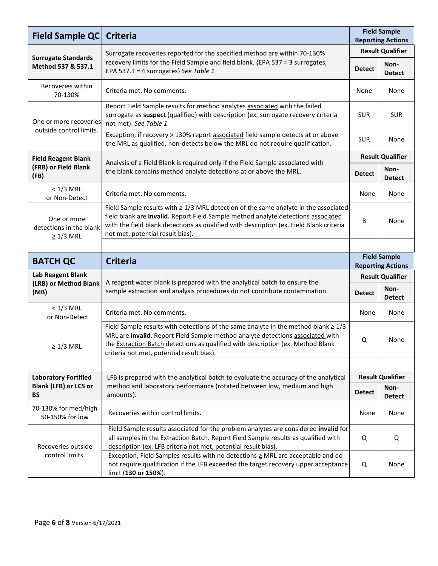| Field Sample QC                                          | <b>Criteria</b>                                                                                                                                                                                                                                                                                                  | <b>Field Sample</b><br><b>Reporting Actions</b> |                          |  |
|----------------------------------------------------------|------------------------------------------------------------------------------------------------------------------------------------------------------------------------------------------------------------------------------------------------------------------------------------------------------------------|-------------------------------------------------|--------------------------|--|
|                                                          | Surrogate recoveries reported for the specified method are within 70-130%                                                                                                                                                                                                                                        | <b>Result Qualifier</b>                         |                          |  |
| <b>Surrogate Standards</b><br>Method 537 & 537.1         | recovery limits for the Field Sample and field blank. {EPA 537 = 3 surrogates,<br>EPA 537.1 = 4 surrogates} See Table 1                                                                                                                                                                                          | <b>Detect</b>                                   | Non-<br><b>Detect</b>    |  |
| Recoveries within<br>70-130%                             | Criteria met. No comments.                                                                                                                                                                                                                                                                                       | None                                            | None                     |  |
| One or more recoveries                                   | Report Field Sample results for method analytes associated with the failed<br>surrogate as suspect (qualified) with description (ex. surrogate recovery criteria<br>not met). See Table 1                                                                                                                        | <b>SUR</b>                                      | <b>SUR</b>               |  |
| outside control limits.                                  | Exception, if recovery > 130% report associated field sample detects at or above<br>the MRL as qualified, non-detects below the MRL do not require qualification.                                                                                                                                                | <b>SUR</b>                                      | None                     |  |
| <b>Field Reagent Blank</b>                               |                                                                                                                                                                                                                                                                                                                  |                                                 | <b>Result Qualifier</b>  |  |
| (FRB) or Field Blank<br>(FB)                             | Analysis of a Field Blank is required only if the Field Sample associated with<br>the blank contains method analyte detections at or above the MRL.                                                                                                                                                              | <b>Detect</b>                                   | Non-<br><b>Detect</b>    |  |
| $< 1/3$ MRL<br>or Non-Detect                             | Criteria met. No comments.                                                                                                                                                                                                                                                                                       | None                                            | None                     |  |
| One or more<br>detections in the blank<br>$\geq$ 1/3 MRL | Field Sample results with $\geq$ 1/3 MRL detection of the same analyte in the associated<br>field blank are invalid. Report Field Sample method analyte detections associated<br>with the field blank detections as qualified with description (ex. Field Blank criteria<br>not met, potential result bias).     | В                                               | None                     |  |
|                                                          |                                                                                                                                                                                                                                                                                                                  |                                                 |                          |  |
| <b>BATCH QC</b>                                          | <b>Criteria</b>                                                                                                                                                                                                                                                                                                  | <b>Field Sample</b>                             |                          |  |
|                                                          |                                                                                                                                                                                                                                                                                                                  |                                                 |                          |  |
|                                                          |                                                                                                                                                                                                                                                                                                                  |                                                 | <b>Reporting Actions</b> |  |
| Lab Reagent Blank<br>(LRB) or Method Blank               | A reagent water blank is prepared with the analytical batch to ensure the                                                                                                                                                                                                                                        |                                                 | <b>Result Qualifier</b>  |  |
| (MB)                                                     | sample extraction and analysis procedures do not contribute contamination.                                                                                                                                                                                                                                       | <b>Detect</b>                                   | Non-<br><b>Detect</b>    |  |
| $< 1/3$ MRL<br>or Non-Detect                             | Criteria met. No comments.                                                                                                                                                                                                                                                                                       | None                                            | None                     |  |
| $\geq 1/3$ MRL                                           | Field Sample results with detections of the same analyte in the method blank $\geq 1/3$<br>MRL are invalid. Report Field Sample method analyte detections associated with<br>the <b>Extraction Batch</b> detections as qualified with description (ex. Method Blank<br>criteria not met, potential result bias). | Q                                               | None                     |  |
|                                                          |                                                                                                                                                                                                                                                                                                                  |                                                 |                          |  |
| <b>Laboratory Fortified</b>                              | LFB is prepared with the analytical batch to evaluate the accuracy of the analytical                                                                                                                                                                                                                             |                                                 | <b>Result Qualifier</b>  |  |
| <b>Blank (LFB) or LCS or</b><br><b>BS</b>                | method and laboratory performance (rotated between low, medium and high<br>amounts).                                                                                                                                                                                                                             | <b>Detect</b>                                   | Non-<br><b>Detect</b>    |  |
| 70-130% for med/high<br>50-150% for low                  | Recoveries within control limits.                                                                                                                                                                                                                                                                                | None                                            | None                     |  |
| Recoveries outside                                       | Field Sample results associated for the problem analytes are considered invalid for<br>all samples in the Extraction Batch. Report Field Sample results as qualified with<br>description (ex. LFB criteria not met, potential result bias).                                                                      | Q                                               | Q                        |  |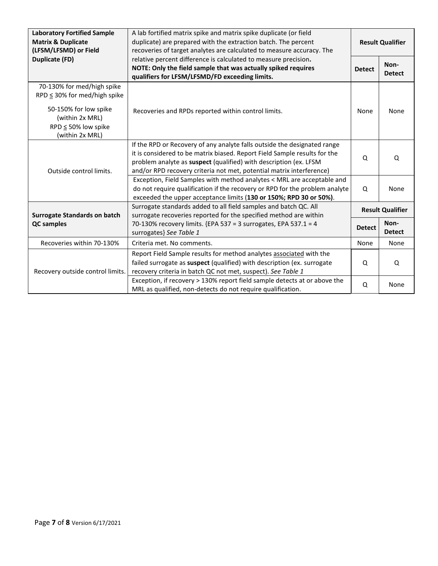| <b>Laboratory Fortified Sample</b><br><b>Matrix &amp; Duplicate</b><br>(LFSM/LFSMD) or Field                                                                                                                | A lab fortified matrix spike and matrix spike duplicate (or field<br>duplicate) are prepared with the extraction batch. The percent<br>recoveries of target analytes are calculated to measure accuracy. The                                                                                       | <b>Result Qualifier</b> |                         |
|-------------------------------------------------------------------------------------------------------------------------------------------------------------------------------------------------------------|----------------------------------------------------------------------------------------------------------------------------------------------------------------------------------------------------------------------------------------------------------------------------------------------------|-------------------------|-------------------------|
| <b>Duplicate (FD)</b><br>relative percent difference is calculated to measure precision.<br>NOTE: Only the field sample that was actually spiked requires<br>qualifiers for LFSM/LFSMD/FD exceeding limits. |                                                                                                                                                                                                                                                                                                    | <b>Detect</b>           | Non-<br><b>Detect</b>   |
| 70-130% for med/high spike<br>$RPD \leq 30\%$ for med/high spike<br>50-150% for low spike<br>(within 2x MRL)<br>RPD $\leq$ 50% low spike<br>(within 2x MRL)                                                 | Recoveries and RPDs reported within control limits.                                                                                                                                                                                                                                                | None                    | None                    |
| Outside control limits.                                                                                                                                                                                     | If the RPD or Recovery of any analyte falls outside the designated range<br>it is considered to be matrix biased. Report Field Sample results for the<br>problem analyte as suspect (qualified) with description (ex. LFSM<br>and/or RPD recovery criteria not met, potential matrix interference) | Q                       | Q                       |
|                                                                                                                                                                                                             | Exception, Field Samples with method analytes < MRL are acceptable and<br>do not require qualification if the recovery or RPD for the problem analyte<br>exceeded the upper acceptance limits (130 or 150%; RPD 30 or 50%).                                                                        | Q                       | None                    |
| <b>Surrogate Standards on batch</b>                                                                                                                                                                         | Surrogate standards added to all field samples and batch QC. All<br>surrogate recoveries reported for the specified method are within                                                                                                                                                              |                         | <b>Result Qualifier</b> |
| <b>QC</b> samples                                                                                                                                                                                           | 70-130% recovery limits. {EPA 537 = 3 surrogates, EPA 537.1 = 4<br>surrogates} See Table 1                                                                                                                                                                                                         | <b>Detect</b>           | Non-<br><b>Detect</b>   |
| Recoveries within 70-130%                                                                                                                                                                                   | Criteria met. No comments.                                                                                                                                                                                                                                                                         | None                    | None                    |
| Recovery outside control limits.                                                                                                                                                                            | Report Field Sample results for method analytes associated with the<br>failed surrogate as suspect (qualified) with description (ex. surrogate<br>recovery criteria in batch QC not met, suspect). See Table 1                                                                                     | Q                       | Q                       |
|                                                                                                                                                                                                             | Exception, if recovery > 130% report field sample detects at or above the<br>MRL as qualified, non-detects do not require qualification.                                                                                                                                                           | Q                       | None                    |